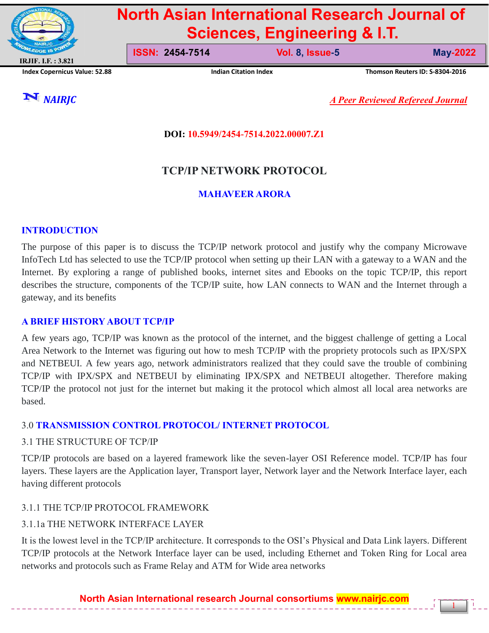

# **North Asian International Research Journal of Sciences, Engineering & I.T.**

**ISSN: 2454-7514 Vol. 8, Issue-5 May-2022**

**Index Copernicus Value: 52.88 Indian Citation Index Thomson Reuters ID: S-8304-2016**

1

*NAIRJC A Peer Reviewed Refereed Journal*

## **DOI: 10.5949/2454-7514.2022.00007.Z1**

## **TCP/IP NETWORK PROTOCOL**

## **MAHAVEER ARORA**

## **INTRODUCTION**

The purpose of this paper is to discuss the TCP/IP network protocol and justify why the company Microwave InfoTech Ltd has selected to use the TCP/IP protocol when setting up their LAN with a gateway to a WAN and the Internet. By exploring a range of published books, internet sites and Ebooks on the topic TCP/IP, this report describes the structure, components of the TCP/IP suite, how LAN connects to WAN and the Internet through a gateway, and its benefits

#### **A BRIEF HISTORY ABOUT TCP/IP**

A few years ago, TCP/IP was known as the protocol of the internet, and the biggest challenge of getting a Local Area Network to the Internet was figuring out how to mesh TCP/IP with the propriety protocols such as IPX/SPX and NETBEUI. A few years ago, network administrators realized that they could save the trouble of combining TCP/IP with IPX/SPX and NETBEUI by eliminating IPX/SPX and NETBEUI altogether. Therefore making TCP/IP the protocol not just for the internet but making it the protocol which almost all local area networks are based.

## 3.0 **TRANSMISSION CONTROL PROTOCOL/ INTERNET PROTOCOL**

## 3.1 THE STRUCTURE OF TCP/IP

TCP/IP protocols are based on a layered framework like the seven-layer OSI Reference model. TCP/IP has four layers. These layers are the Application layer, Transport layer, Network layer and the Network Interface layer, each having different protocols

## 3.1.1 THE TCP/IP PROTOCOL FRAMEWORK

## 3.1.1a THE NETWORK INTERFACE LAYER

It is the lowest level in the TCP/IP architecture. It corresponds to the OSI's Physical and Data Link layers. Different TCP/IP protocols at the Network Interface layer can be used, including Ethernet and Token Ring for Local area networks and protocols such as Frame Relay and ATM for Wide area networks

**North Asian International research Journal consortiums www.nairjc.com**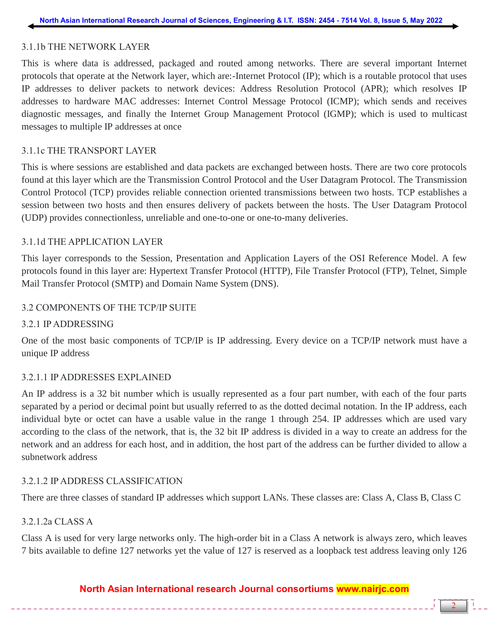## 3.1.1b THE NETWORK LAYER

This is where data is addressed, packaged and routed among networks. There are several important Internet protocols that operate at the Network layer, which are:-Internet Protocol (IP); which is a routable protocol that uses IP addresses to deliver packets to network devices: Address Resolution Protocol (APR); which resolves IP addresses to hardware MAC addresses: Internet Control Message Protocol (ICMP); which sends and receives diagnostic messages, and finally the Internet Group Management Protocol (IGMP); which is used to multicast messages to multiple IP addresses at once

## 3.1.1c THE TRANSPORT LAYER

This is where sessions are established and data packets are exchanged between hosts. There are two core protocols found at this layer which are the Transmission Control Protocol and the User Datagram Protocol. The Transmission Control Protocol (TCP) provides reliable connection oriented transmissions between two hosts. TCP establishes a session between two hosts and then ensures delivery of packets between the hosts. The User Datagram Protocol (UDP) provides connectionless, unreliable and one-to-one or one-to-many deliveries.

## 3.1.1d THE APPLICATION LAYER

This layer corresponds to the Session, Presentation and Application Layers of the OSI Reference Model. A few protocols found in this layer are: Hypertext Transfer Protocol (HTTP), File Transfer Protocol (FTP), Telnet, Simple Mail Transfer Protocol (SMTP) and Domain Name System (DNS).

## 3.2 COMPONENTS OF THE TCP/IP SUITE

#### 3.2.1 IP ADDRESSING

One of the most basic components of TCP/IP is IP addressing. Every device on a TCP/IP network must have a unique IP address

#### 3.2.1.1 IP ADDRESSES EXPLAINED

An IP address is a 32 bit number which is usually represented as a four part number, with each of the four parts separated by a period or decimal point but usually referred to as the dotted decimal notation. In the IP address, each individual byte or octet can have a usable value in the range 1 through 254. IP addresses which are used vary according to the class of the network, that is, the 32 bit IP address is divided in a way to create an address for the network and an address for each host, and in addition, the host part of the address can be further divided to allow a subnetwork address

#### 3.2.1.2 IP ADDRESS CLASSIFICATION

There are three classes of standard IP addresses which support LANs. These classes are: Class A, Class B, Class C

#### 3.2.1.2a CLASS A

Class A is used for very large networks only. The high-order bit in a Class A network is always zero, which leaves 7 bits available to define 127 networks yet the value of 127 is reserved as a loopback test address leaving only 126

## **North Asian International research Journal consortiums www.nairjc.com**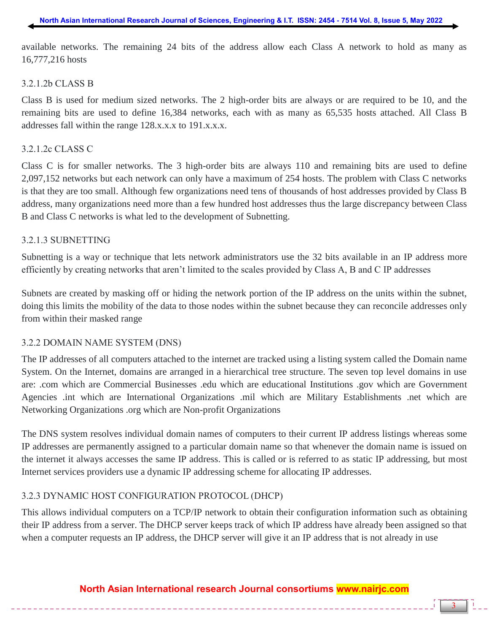available networks. The remaining 24 bits of the address allow each Class A network to hold as many as 16,777,216 hosts

#### 3.2.1.2b CLASS B

Class B is used for medium sized networks. The 2 high-order bits are always or are required to be 10, and the remaining bits are used to define 16,384 networks, each with as many as 65,535 hosts attached. All Class B addresses fall within the range 128.x.x.x to 191.x.x.x.

#### 3.2.1.2c CLASS C

Class C is for smaller networks. The 3 high-order bits are always 110 and remaining bits are used to define 2,097,152 networks but each network can only have a maximum of 254 hosts. The problem with Class C networks is that they are too small. Although few organizations need tens of thousands of host addresses provided by Class B address, many organizations need more than a few hundred host addresses thus the large discrepancy between Class B and Class C networks is what led to the development of Subnetting.

#### 3.2.1.3 SUBNETTING

Subnetting is a way or technique that lets network administrators use the 32 bits available in an IP address more efficiently by creating networks that aren't limited to the scales provided by Class A, B and C IP addresses

Subnets are created by masking off or hiding the network portion of the IP address on the units within the subnet, doing this limits the mobility of the data to those nodes within the subnet because they can reconcile addresses only from within their masked range

#### 3.2.2 DOMAIN NAME SYSTEM (DNS)

The IP addresses of all computers attached to the internet are tracked using a listing system called the Domain name System. On the Internet, domains are arranged in a hierarchical tree structure. The seven top level domains in use are: .com which are Commercial Businesses .edu which are educational Institutions .gov which are Government Agencies .int which are International Organizations .mil which are Military Establishments .net which are Networking Organizations .org which are Non-profit Organizations

The DNS system resolves individual domain names of computers to their current IP address listings whereas some IP addresses are permanently assigned to a particular domain name so that whenever the domain name is issued on the internet it always accesses the same IP address. This is called or is referred to as static IP addressing, but most Internet services providers use a dynamic IP addressing scheme for allocating IP addresses.

#### 3.2.3 DYNAMIC HOST CONFIGURATION PROTOCOL (DHCP)

This allows individual computers on a TCP/IP network to obtain their configuration information such as obtaining their IP address from a server. The DHCP server keeps track of which IP address have already been assigned so that when a computer requests an IP address, the DHCP server will give it an IP address that is not already in use

## **North Asian International research Journal consortiums www.nairjc.com**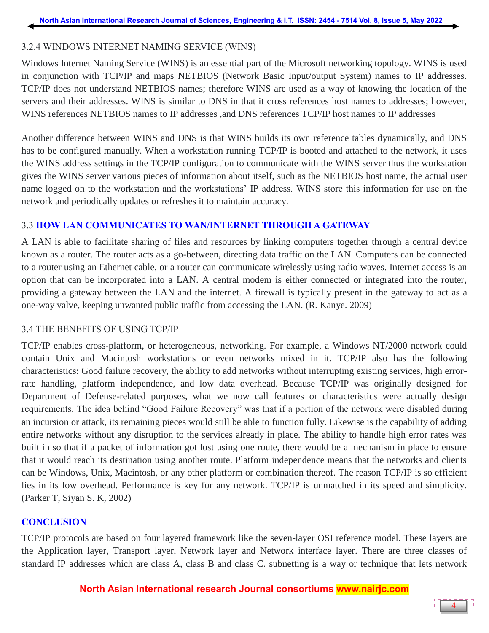## 3.2.4 WINDOWS INTERNET NAMING SERVICE (WINS)

Windows Internet Naming Service (WINS) is an essential part of the Microsoft networking topology. WINS is used in conjunction with TCP/IP and maps NETBIOS (Network Basic Input/output System) names to IP addresses. TCP/IP does not understand NETBIOS names; therefore WINS are used as a way of knowing the location of the servers and their addresses. WINS is similar to DNS in that it cross references host names to addresses; however, WINS references NETBIOS names to IP addresses ,and DNS references TCP/IP host names to IP addresses

Another difference between WINS and DNS is that WINS builds its own reference tables dynamically, and DNS has to be configured manually. When a workstation running TCP/IP is booted and attached to the network, it uses the WINS address settings in the TCP/IP configuration to communicate with the WINS server thus the workstation gives the WINS server various pieces of information about itself, such as the NETBIOS host name, the actual user name logged on to the workstation and the workstations' IP address. WINS store this information for use on the network and periodically updates or refreshes it to maintain accuracy.

## 3.3 **HOW LAN COMMUNICATES TO WAN/INTERNET THROUGH A GATEWAY**

A LAN is able to facilitate sharing of files and resources by linking computers together through a central device known as a router. The router acts as a go-between, directing data traffic on the LAN. Computers can be connected to a router using an Ethernet cable, or a router can communicate wirelessly using radio waves. Internet access is an option that can be incorporated into a LAN. A central modem is either connected or integrated into the router, providing a gateway between the LAN and the internet. A firewall is typically present in the gateway to act as a one-way valve, keeping unwanted public traffic from accessing the LAN. (R. Kanye. 2009)

#### 3.4 THE BENEFITS OF USING TCP/IP

TCP/IP enables cross-platform, or heterogeneous, networking. For example, a Windows NT/2000 network could contain Unix and Macintosh workstations or even networks mixed in it. TCP/IP also has the following characteristics: Good failure recovery, the ability to add networks without interrupting existing services, high errorrate handling, platform independence, and low data overhead. Because TCP/IP was originally designed for Department of Defense-related purposes, what we now call features or characteristics were actually design requirements. The idea behind "Good Failure Recovery" was that if a portion of the network were disabled during an incursion or attack, its remaining pieces would still be able to function fully. Likewise is the capability of adding entire networks without any disruption to the services already in place. The ability to handle high error rates was built in so that if a packet of information got lost using one route, there would be a mechanism in place to ensure that it would reach its destination using another route. Platform independence means that the networks and clients can be Windows, Unix, Macintosh, or any other platform or combination thereof. The reason TCP/IP is so efficient lies in its low overhead. Performance is key for any network. TCP/IP is unmatched in its speed and simplicity. (Parker T, Siyan S. K, 2002)

#### **CONCLUSION**

TCP/IP protocols are based on four layered framework like the seven-layer OSI reference model. These layers are the Application layer, Transport layer, Network layer and Network interface layer. There are three classes of standard IP addresses which are class A, class B and class C. subnetting is a way or technique that lets network

## **North Asian International research Journal consortiums www.nairjc.com**